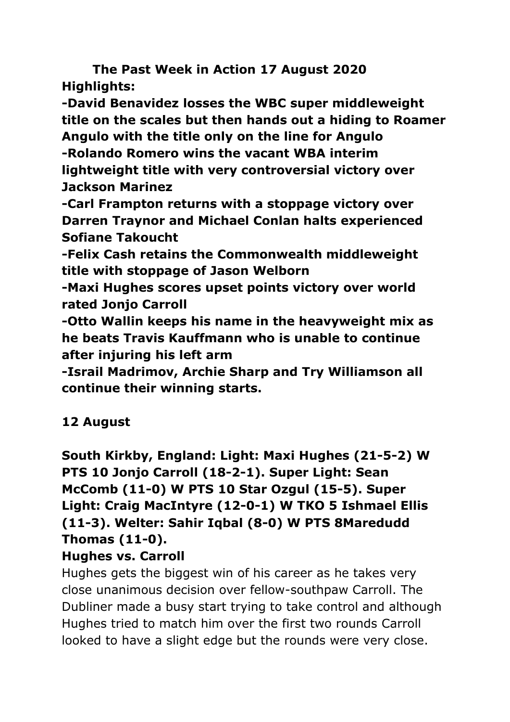**The Past Week in Action 17 August 2020 Highlights:**

**-David Benavidez losses the WBC super middleweight title on the scales but then hands out a hiding to Roamer Angulo with the title only on the line for Angulo -Rolando Romero wins the vacant WBA interim lightweight title with very controversial victory over Jackson Marinez**

**-Carl Frampton returns with a stoppage victory over Darren Traynor and Michael Conlan halts experienced Sofiane Takoucht**

**-Felix Cash retains the Commonwealth middleweight title with stoppage of Jason Welborn**

**-Maxi Hughes scores upset points victory over world rated Jonjo Carroll**

**-Otto Wallin keeps his name in the heavyweight mix as he beats Travis Kauffmann who is unable to continue after injuring his left arm**

**-Israil Madrimov, Archie Sharp and Try Williamson all continue their winning starts.**

# **12 August**

**South Kirkby, England: Light: Maxi Hughes (21-5-2) W PTS 10 Jonjo Carroll (18-2-1). Super Light: Sean McComb (11-0) W PTS 10 Star Ozgul (15-5). Super Light: Craig MacIntyre (12-0-1) W TKO 5 Ishmael Ellis (11-3). Welter: Sahir Iqbal (8-0) W PTS 8Maredudd Thomas (11-0).**

### **Hughes vs. Carroll**

Hughes gets the biggest win of his career as he takes very close unanimous decision over fellow-southpaw Carroll. The Dubliner made a busy start trying to take control and although Hughes tried to match him over the first two rounds Carroll looked to have a slight edge but the rounds were very close.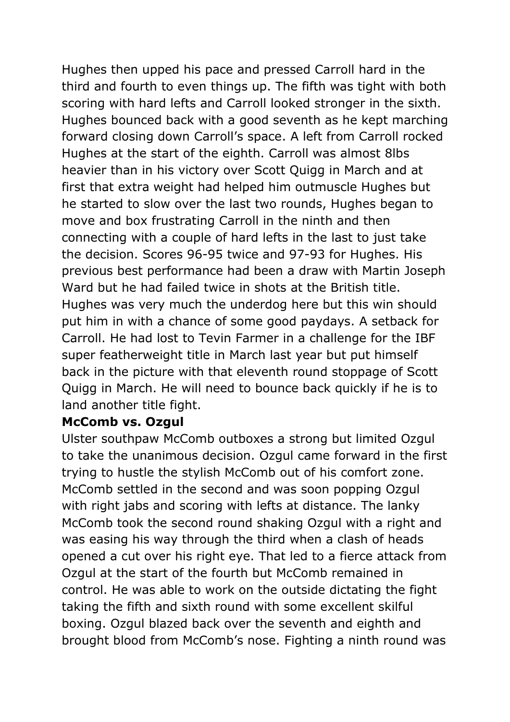Hughes then upped his pace and pressed Carroll hard in the third and fourth to even things up. The fifth was tight with both scoring with hard lefts and Carroll looked stronger in the sixth. Hughes bounced back with a good seventh as he kept marching forward closing down Carroll's space. A left from Carroll rocked Hughes at the start of the eighth. Carroll was almost 8lbs heavier than in his victory over Scott Quigg in March and at first that extra weight had helped him outmuscle Hughes but he started to slow over the last two rounds, Hughes began to move and box frustrating Carroll in the ninth and then connecting with a couple of hard lefts in the last to just take the decision. Scores 96-95 twice and 97-93 for Hughes. His previous best performance had been a draw with Martin Joseph Ward but he had failed twice in shots at the British title. Hughes was very much the underdog here but this win should put him in with a chance of some good paydays. A setback for Carroll. He had lost to Tevin Farmer in a challenge for the IBF super featherweight title in March last year but put himself back in the picture with that eleventh round stoppage of Scott Quigg in March. He will need to bounce back quickly if he is to land another title fight.

### **McComb vs. Ozgul**

Ulster southpaw McComb outboxes a strong but limited Ozgul to take the unanimous decision. Ozgul came forward in the first trying to hustle the stylish McComb out of his comfort zone. McComb settled in the second and was soon popping Ozgul with right jabs and scoring with lefts at distance. The lanky McComb took the second round shaking Ozgul with a right and was easing his way through the third when a clash of heads opened a cut over his right eye. That led to a fierce attack from Ozgul at the start of the fourth but McComb remained in control. He was able to work on the outside dictating the fight taking the fifth and sixth round with some excellent skilful boxing. Ozgul blazed back over the seventh and eighth and brought blood from McComb's nose. Fighting a ninth round was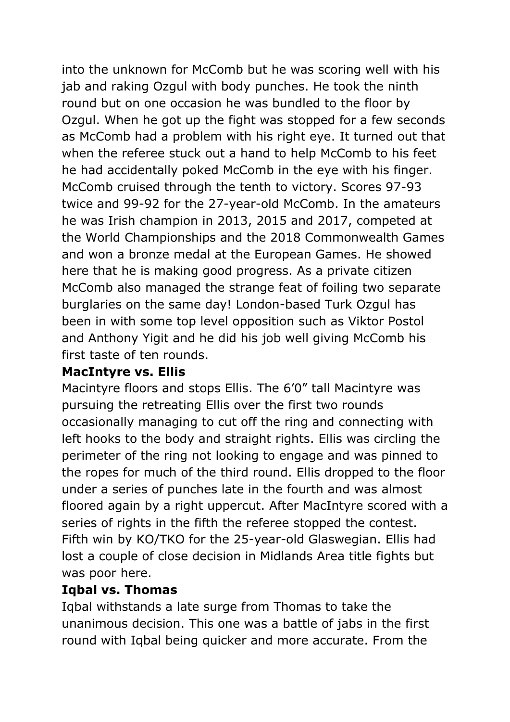into the unknown for McComb but he was scoring well with his jab and raking Ozgul with body punches. He took the ninth round but on one occasion he was bundled to the floor by Ozgul. When he got up the fight was stopped for a few seconds as McComb had a problem with his right eye. It turned out that when the referee stuck out a hand to help McComb to his feet he had accidentally poked McComb in the eye with his finger. McComb cruised through the tenth to victory. Scores 97-93 twice and 99-92 for the 27-year-old McComb. In the amateurs he was Irish champion in 2013, 2015 and 2017, competed at the World Championships and the 2018 Commonwealth Games and won a bronze medal at the European Games. He showed here that he is making good progress. As a private citizen McComb also managed the strange feat of foiling two separate burglaries on the same day! London-based Turk Ozgul has been in with some top level opposition such as Viktor Postol and Anthony Yigit and he did his job well giving McComb his first taste of ten rounds.

### **MacIntyre vs. Ellis**

Macintyre floors and stops Ellis. The 6'0" tall Macintyre was pursuing the retreating Ellis over the first two rounds occasionally managing to cut off the ring and connecting with left hooks to the body and straight rights. Ellis was circling the perimeter of the ring not looking to engage and was pinned to the ropes for much of the third round. Ellis dropped to the floor under a series of punches late in the fourth and was almost floored again by a right uppercut. After MacIntyre scored with a series of rights in the fifth the referee stopped the contest. Fifth win by KO/TKO for the 25-year-old Glaswegian. Ellis had lost a couple of close decision in Midlands Area title fights but was poor here.

### **Iqbal vs. Thomas**

Iqbal withstands a late surge from Thomas to take the unanimous decision. This one was a battle of jabs in the first round with Iqbal being quicker and more accurate. From the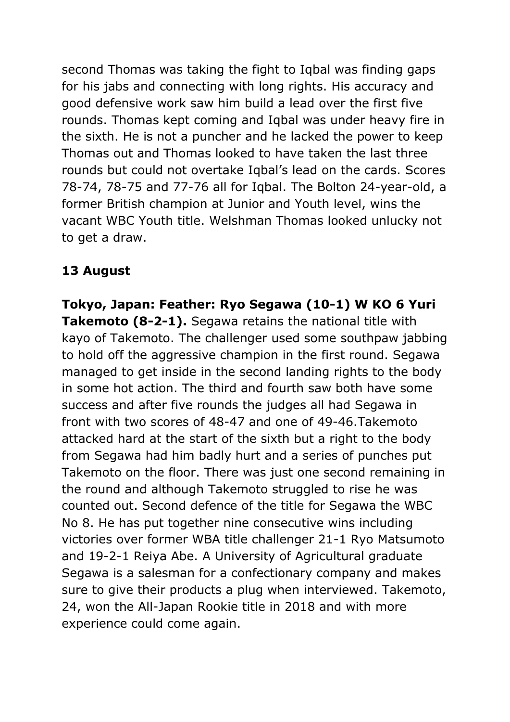second Thomas was taking the fight to Iqbal was finding gaps for his jabs and connecting with long rights. His accuracy and good defensive work saw him build a lead over the first five rounds. Thomas kept coming and Iqbal was under heavy fire in the sixth. He is not a puncher and he lacked the power to keep Thomas out and Thomas looked to have taken the last three rounds but could not overtake Iqbal's lead on the cards. Scores 78-74, 78-75 and 77-76 all for Iqbal. The Bolton 24-year-old, a former British champion at Junior and Youth level, wins the vacant WBC Youth title. Welshman Thomas looked unlucky not to get a draw.

### **13 August**

**Tokyo, Japan: Feather: Ryo Segawa (10-1) W KO 6 Yuri Takemoto (8-2-1).** Segawa retains the national title with kayo of Takemoto. The challenger used some southpaw jabbing to hold off the aggressive champion in the first round. Segawa managed to get inside in the second landing rights to the body in some hot action. The third and fourth saw both have some success and after five rounds the judges all had Segawa in front with two scores of 48-47 and one of 49-46.Takemoto attacked hard at the start of the sixth but a right to the body from Segawa had him badly hurt and a series of punches put Takemoto on the floor. There was just one second remaining in the round and although Takemoto struggled to rise he was counted out. Second defence of the title for Segawa the WBC No 8. He has put together nine consecutive wins including victories over former WBA title challenger 21-1 Ryo Matsumoto and 19-2-1 Reiya Abe. A University of Agricultural graduate Segawa is a salesman for a confectionary company and makes sure to give their products a plug when interviewed. Takemoto, 24, won the All-Japan Rookie title in 2018 and with more experience could come again.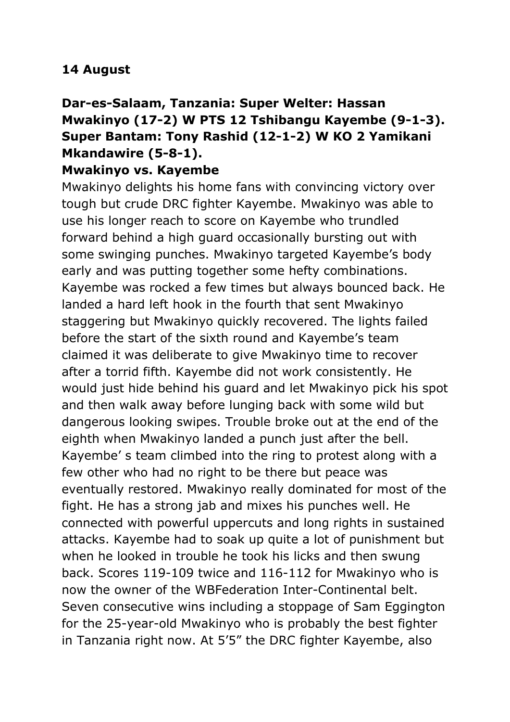### **14 August**

# **Dar-es-Salaam, Tanzania: Super Welter: Hassan Mwakinyo (17-2) W PTS 12 Tshibangu Kayembe (9-1-3). Super Bantam: Tony Rashid (12-1-2) W KO 2 Yamikani Mkandawire (5-8-1).**

### **Mwakinyo vs. Kayembe**

Mwakinyo delights his home fans with convincing victory over tough but crude DRC fighter Kayembe. Mwakinyo was able to use his longer reach to score on Kayembe who trundled forward behind a high guard occasionally bursting out with some swinging punches. Mwakinyo targeted Kayembe's body early and was putting together some hefty combinations. Kayembe was rocked a few times but always bounced back. He landed a hard left hook in the fourth that sent Mwakinyo staggering but Mwakinyo quickly recovered. The lights failed before the start of the sixth round and Kayembe's team claimed it was deliberate to give Mwakinyo time to recover after a torrid fifth. Kayembe did not work consistently. He would just hide behind his guard and let Mwakinyo pick his spot and then walk away before lunging back with some wild but dangerous looking swipes. Trouble broke out at the end of the eighth when Mwakinyo landed a punch just after the bell. Kayembe' s team climbed into the ring to protest along with a few other who had no right to be there but peace was eventually restored. Mwakinyo really dominated for most of the fight. He has a strong jab and mixes his punches well. He connected with powerful uppercuts and long rights in sustained attacks. Kayembe had to soak up quite a lot of punishment but when he looked in trouble he took his licks and then swung back. Scores 119-109 twice and 116-112 for Mwakinyo who is now the owner of the WBFederation Inter-Continental belt. Seven consecutive wins including a stoppage of Sam Eggington for the 25-year-old Mwakinyo who is probably the best fighter in Tanzania right now. At 5'5" the DRC fighter Kayembe, also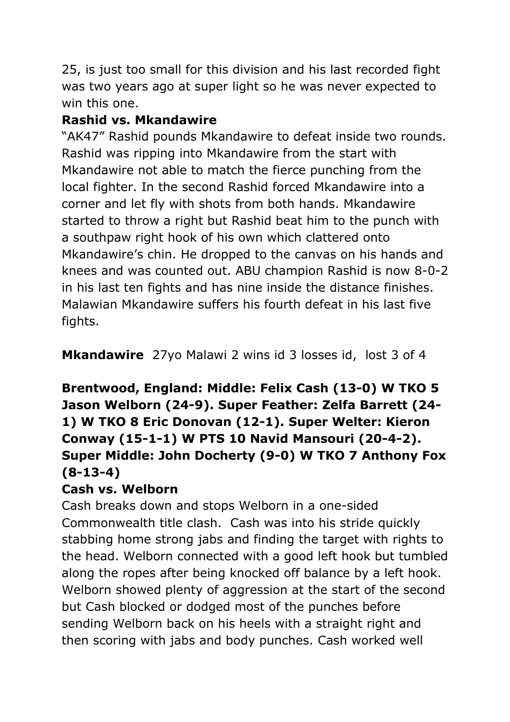25, is just too small for this division and his last recorded fight was two years ago at super light so he was never expected to win this one.

### **Rashid vs. Mkandawire**

"AK47" Rashid pounds Mkandawire to defeat inside two rounds. Rashid was ripping into Mkandawire from the start with Mkandawire not able to match the fierce punching from the local fighter. In the second Rashid forced Mkandawire into a corner and let fly with shots from both hands. Mkandawire started to throw a right but Rashid beat him to the punch with a southpaw right hook of his own which clattered onto Mkandawire's chin. He dropped to the canvas on his hands and knees and was counted out. ABU champion Rashid is now 8-0-2 in his last ten fights and has nine inside the distance finishes. Malawian Mkandawire suffers his fourth defeat in his last five fights.

**Mkandawire** 27yo Malawi 2 wins id 3 losses id, lost 3 of 4

# **Brentwood, England: Middle: Felix Cash (13-0) W TKO 5 Jason Welborn (24-9). Super Feather: Zelfa Barrett (24- 1) W TKO 8 Eric Donovan (12-1). Super Welter: Kieron Conway (15-1-1) W PTS 10 Navid Mansouri (20-4-2). Super Middle: John Docherty (9-0) W TKO 7 Anthony Fox (8-13-4)**

### **Cash vs. Welborn**

Cash breaks down and stops Welborn in a one-sided Commonwealth title clash. Cash was into his stride quickly stabbing home strong jabs and finding the target with rights to the head. Welborn connected with a good left hook but tumbled along the ropes after being knocked off balance by a left hook. Welborn showed plenty of aggression at the start of the second but Cash blocked or dodged most of the punches before sending Welborn back on his heels with a straight right and then scoring with jabs and body punches. Cash worked well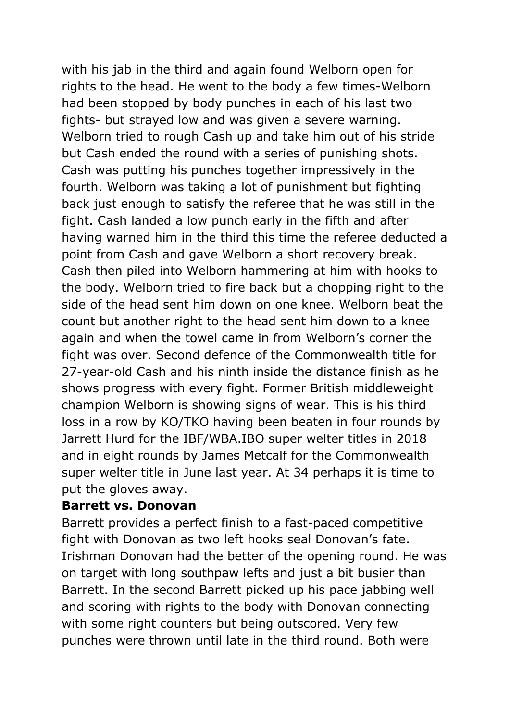with his jab in the third and again found Welborn open for rights to the head. He went to the body a few times-Welborn had been stopped by body punches in each of his last two fights- but strayed low and was given a severe warning. Welborn tried to rough Cash up and take him out of his stride but Cash ended the round with a series of punishing shots. Cash was putting his punches together impressively in the fourth. Welborn was taking a lot of punishment but fighting back just enough to satisfy the referee that he was still in the fight. Cash landed a low punch early in the fifth and after having warned him in the third this time the referee deducted a point from Cash and gave Welborn a short recovery break. Cash then piled into Welborn hammering at him with hooks to the body. Welborn tried to fire back but a chopping right to the side of the head sent him down on one knee. Welborn beat the count but another right to the head sent him down to a knee again and when the towel came in from Welborn's corner the fight was over. Second defence of the Commonwealth title for 27-year-old Cash and his ninth inside the distance finish as he shows progress with every fight. Former British middleweight champion Welborn is showing signs of wear. This is his third loss in a row by KO/TKO having been beaten in four rounds by Jarrett Hurd for the IBF/WBA.IBO super welter titles in 2018 and in eight rounds by James Metcalf for the Commonwealth super welter title in June last year. At 34 perhaps it is time to put the gloves away.

### **Barrett vs. Donovan**

Barrett provides a perfect finish to a fast-paced competitive fight with Donovan as two left hooks seal Donovan's fate. Irishman Donovan had the better of the opening round. He was on target with long southpaw lefts and just a bit busier than Barrett. In the second Barrett picked up his pace jabbing well and scoring with rights to the body with Donovan connecting with some right counters but being outscored. Very few punches were thrown until late in the third round. Both were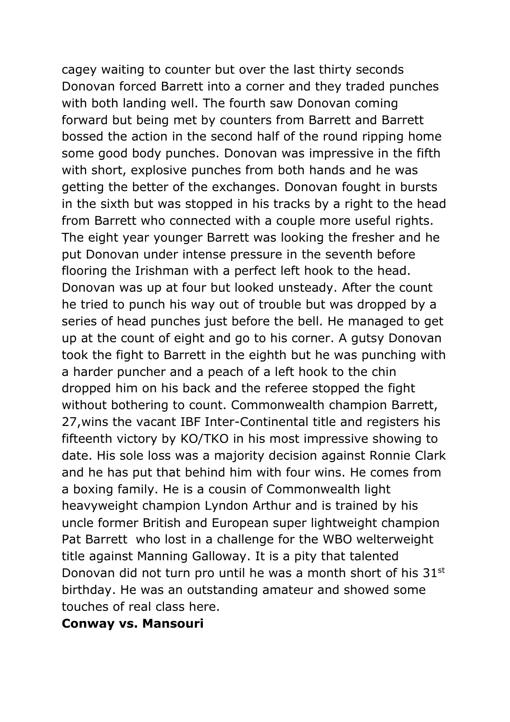cagey waiting to counter but over the last thirty seconds Donovan forced Barrett into a corner and they traded punches with both landing well. The fourth saw Donovan coming forward but being met by counters from Barrett and Barrett bossed the action in the second half of the round ripping home some good body punches. Donovan was impressive in the fifth with short, explosive punches from both hands and he was getting the better of the exchanges. Donovan fought in bursts in the sixth but was stopped in his tracks by a right to the head from Barrett who connected with a couple more useful rights. The eight year younger Barrett was looking the fresher and he put Donovan under intense pressure in the seventh before flooring the Irishman with a perfect left hook to the head. Donovan was up at four but looked unsteady. After the count he tried to punch his way out of trouble but was dropped by a series of head punches just before the bell. He managed to get up at the count of eight and go to his corner. A gutsy Donovan took the fight to Barrett in the eighth but he was punching with a harder puncher and a peach of a left hook to the chin dropped him on his back and the referee stopped the fight without bothering to count. Commonwealth champion Barrett, 27,wins the vacant IBF Inter-Continental title and registers his fifteenth victory by KO/TKO in his most impressive showing to date. His sole loss was a majority decision against Ronnie Clark and he has put that behind him with four wins. He comes from a boxing family. He is a cousin of Commonwealth light heavyweight champion Lyndon Arthur and is trained by his uncle former British and European super lightweight champion Pat Barrett who lost in a challenge for the WBO welterweight title against Manning Galloway. It is a pity that talented Donovan did not turn pro until he was a month short of his 31<sup>st</sup> birthday. He was an outstanding amateur and showed some touches of real class here.

### **Conway vs. Mansouri**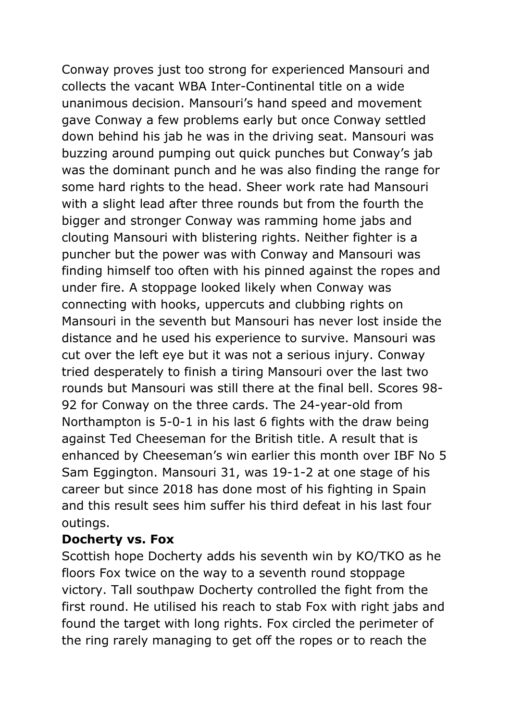Conway proves just too strong for experienced Mansouri and collects the vacant WBA Inter-Continental title on a wide unanimous decision. Mansouri's hand speed and movement gave Conway a few problems early but once Conway settled down behind his jab he was in the driving seat. Mansouri was buzzing around pumping out quick punches but Conway's jab was the dominant punch and he was also finding the range for some hard rights to the head. Sheer work rate had Mansouri with a slight lead after three rounds but from the fourth the bigger and stronger Conway was ramming home jabs and clouting Mansouri with blistering rights. Neither fighter is a puncher but the power was with Conway and Mansouri was finding himself too often with his pinned against the ropes and under fire. A stoppage looked likely when Conway was connecting with hooks, uppercuts and clubbing rights on Mansouri in the seventh but Mansouri has never lost inside the distance and he used his experience to survive. Mansouri was cut over the left eye but it was not a serious injury. Conway tried desperately to finish a tiring Mansouri over the last two rounds but Mansouri was still there at the final bell. Scores 98- 92 for Conway on the three cards. The 24-year-old from Northampton is 5-0-1 in his last 6 fights with the draw being against Ted Cheeseman for the British title. A result that is enhanced by Cheeseman's win earlier this month over IBF No 5 Sam Eggington. Mansouri 31, was 19-1-2 at one stage of his career but since 2018 has done most of his fighting in Spain and this result sees him suffer his third defeat in his last four outings.

### **Docherty vs. Fox**

Scottish hope Docherty adds his seventh win by KO/TKO as he floors Fox twice on the way to a seventh round stoppage victory. Tall southpaw Docherty controlled the fight from the first round. He utilised his reach to stab Fox with right jabs and found the target with long rights. Fox circled the perimeter of the ring rarely managing to get off the ropes or to reach the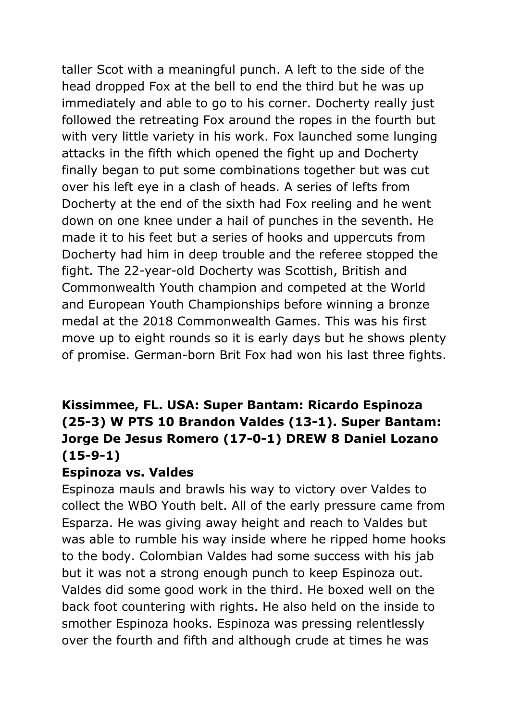taller Scot with a meaningful punch. A left to the side of the head dropped Fox at the bell to end the third but he was up immediately and able to go to his corner. Docherty really just followed the retreating Fox around the ropes in the fourth but with very little variety in his work. Fox launched some lunging attacks in the fifth which opened the fight up and Docherty finally began to put some combinations together but was cut over his left eye in a clash of heads. A series of lefts from Docherty at the end of the sixth had Fox reeling and he went down on one knee under a hail of punches in the seventh. He made it to his feet but a series of hooks and uppercuts from Docherty had him in deep trouble and the referee stopped the fight. The 22-year-old Docherty was Scottish, British and Commonwealth Youth champion and competed at the World and European Youth Championships before winning a bronze medal at the 2018 Commonwealth Games. This was his first move up to eight rounds so it is early days but he shows plenty of promise. German-born Brit Fox had won his last three fights.

### **Kissimmee, FL. USA: Super Bantam: Ricardo Espinoza (25-3) W PTS 10 Brandon Valdes (13-1). Super Bantam: Jorge De Jesus Romero (17-0-1) DREW 8 Daniel Lozano (15-9-1)**

### **Espinoza vs. Valdes**

Espinoza mauls and brawls his way to victory over Valdes to collect the WBO Youth belt. All of the early pressure came from Esparza. He was giving away height and reach to Valdes but was able to rumble his way inside where he ripped home hooks to the body. Colombian Valdes had some success with his jab but it was not a strong enough punch to keep Espinoza out. Valdes did some good work in the third. He boxed well on the back foot countering with rights. He also held on the inside to smother Espinoza hooks. Espinoza was pressing relentlessly over the fourth and fifth and although crude at times he was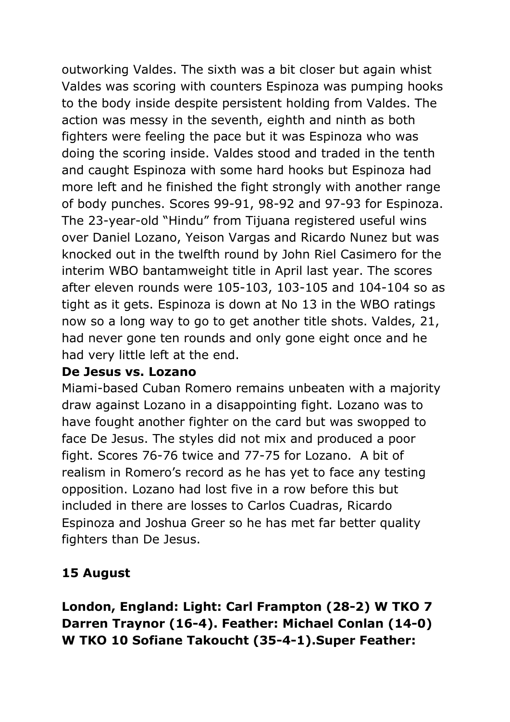outworking Valdes. The sixth was a bit closer but again whist Valdes was scoring with counters Espinoza was pumping hooks to the body inside despite persistent holding from Valdes. The action was messy in the seventh, eighth and ninth as both fighters were feeling the pace but it was Espinoza who was doing the scoring inside. Valdes stood and traded in the tenth and caught Espinoza with some hard hooks but Espinoza had more left and he finished the fight strongly with another range of body punches. Scores 99-91, 98-92 and 97-93 for Espinoza. The 23-year-old "Hindu" from Tijuana registered useful wins over Daniel Lozano, Yeison Vargas and Ricardo Nunez but was knocked out in the twelfth round by John Riel Casimero for the interim WBO bantamweight title in April last year. The scores after eleven rounds were 105-103, 103-105 and 104-104 so as tight as it gets. Espinoza is down at No 13 in the WBO ratings now so a long way to go to get another title shots. Valdes, 21, had never gone ten rounds and only gone eight once and he had very little left at the end.

### **De Jesus vs. Lozano**

Miami-based Cuban Romero remains unbeaten with a majority draw against Lozano in a disappointing fight. Lozano was to have fought another fighter on the card but was swopped to face De Jesus. The styles did not mix and produced a poor fight. Scores 76-76 twice and 77-75 for Lozano. A bit of realism in Romero's record as he has yet to face any testing opposition. Lozano had lost five in a row before this but included in there are losses to Carlos Cuadras, Ricardo Espinoza and Joshua Greer so he has met far better quality fighters than De Jesus.

### **15 August**

**London, England: Light: Carl Frampton (28-2) W TKO 7 Darren Traynor (16-4). Feather: Michael Conlan (14-0) W TKO 10 Sofiane Takoucht (35-4-1).Super Feather:**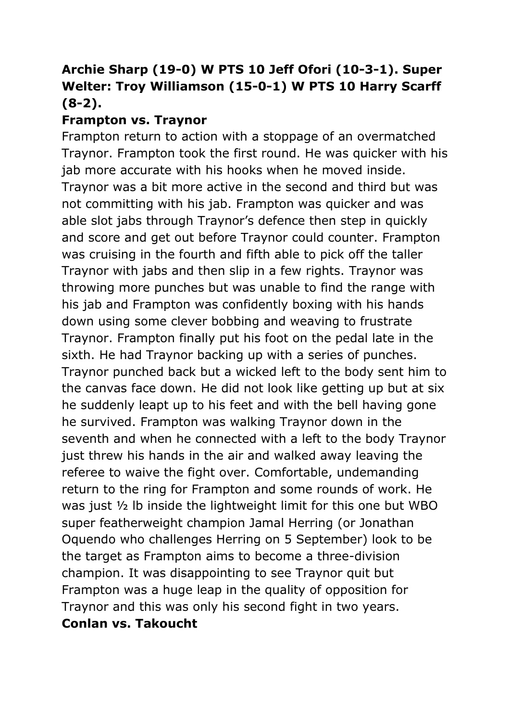# **Archie Sharp (19-0) W PTS 10 Jeff Ofori (10-3-1). Super Welter: Troy Williamson (15-0-1) W PTS 10 Harry Scarff (8-2).**

### **Frampton vs. Traynor**

Frampton return to action with a stoppage of an overmatched Traynor. Frampton took the first round. He was quicker with his jab more accurate with his hooks when he moved inside. Traynor was a bit more active in the second and third but was not committing with his jab. Frampton was quicker and was able slot jabs through Traynor's defence then step in quickly and score and get out before Traynor could counter. Frampton was cruising in the fourth and fifth able to pick off the taller Traynor with jabs and then slip in a few rights. Traynor was throwing more punches but was unable to find the range with his jab and Frampton was confidently boxing with his hands down using some clever bobbing and weaving to frustrate Traynor. Frampton finally put his foot on the pedal late in the sixth. He had Traynor backing up with a series of punches. Traynor punched back but a wicked left to the body sent him to the canvas face down. He did not look like getting up but at six he suddenly leapt up to his feet and with the bell having gone he survived. Frampton was walking Traynor down in the seventh and when he connected with a left to the body Traynor just threw his hands in the air and walked away leaving the referee to waive the fight over. Comfortable, undemanding return to the ring for Frampton and some rounds of work. He was just ½ lb inside the lightweight limit for this one but WBO super featherweight champion Jamal Herring (or Jonathan Oquendo who challenges Herring on 5 September) look to be the target as Frampton aims to become a three-division champion. It was disappointing to see Traynor quit but Frampton was a huge leap in the quality of opposition for Traynor and this was only his second fight in two years. **Conlan vs. Takoucht**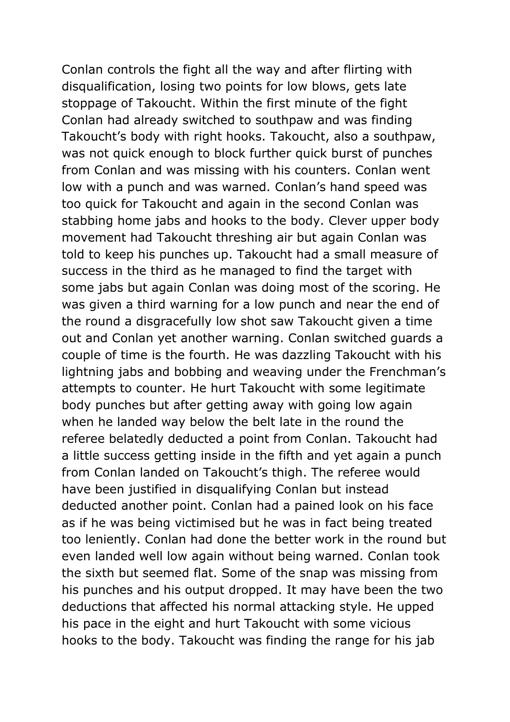Conlan controls the fight all the way and after flirting with disqualification, losing two points for low blows, gets late stoppage of Takoucht. Within the first minute of the fight Conlan had already switched to southpaw and was finding Takoucht's body with right hooks. Takoucht, also a southpaw, was not quick enough to block further quick burst of punches from Conlan and was missing with his counters. Conlan went low with a punch and was warned. Conlan's hand speed was too quick for Takoucht and again in the second Conlan was stabbing home jabs and hooks to the body. Clever upper body movement had Takoucht threshing air but again Conlan was told to keep his punches up. Takoucht had a small measure of success in the third as he managed to find the target with some jabs but again Conlan was doing most of the scoring. He was given a third warning for a low punch and near the end of the round a disgracefully low shot saw Takoucht given a time out and Conlan yet another warning. Conlan switched guards a couple of time is the fourth. He was dazzling Takoucht with his lightning jabs and bobbing and weaving under the Frenchman's attempts to counter. He hurt Takoucht with some legitimate body punches but after getting away with going low again when he landed way below the belt late in the round the referee belatedly deducted a point from Conlan. Takoucht had a little success getting inside in the fifth and yet again a punch from Conlan landed on Takoucht's thigh. The referee would have been justified in disqualifying Conlan but instead deducted another point. Conlan had a pained look on his face as if he was being victimised but he was in fact being treated too leniently. Conlan had done the better work in the round but even landed well low again without being warned. Conlan took the sixth but seemed flat. Some of the snap was missing from his punches and his output dropped. It may have been the two deductions that affected his normal attacking style. He upped his pace in the eight and hurt Takoucht with some vicious hooks to the body. Takoucht was finding the range for his jab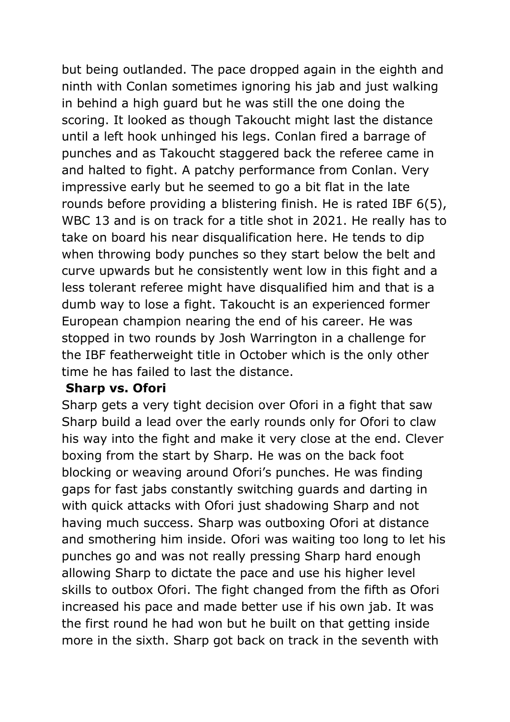but being outlanded. The pace dropped again in the eighth and ninth with Conlan sometimes ignoring his jab and just walking in behind a high guard but he was still the one doing the scoring. It looked as though Takoucht might last the distance until a left hook unhinged his legs. Conlan fired a barrage of punches and as Takoucht staggered back the referee came in and halted to fight. A patchy performance from Conlan. Very impressive early but he seemed to go a bit flat in the late rounds before providing a blistering finish. He is rated IBF 6(5), WBC 13 and is on track for a title shot in 2021. He really has to take on board his near disqualification here. He tends to dip when throwing body punches so they start below the belt and curve upwards but he consistently went low in this fight and a less tolerant referee might have disqualified him and that is a dumb way to lose a fight. Takoucht is an experienced former European champion nearing the end of his career. He was stopped in two rounds by Josh Warrington in a challenge for the IBF featherweight title in October which is the only other time he has failed to last the distance.

### **Sharp vs. Ofori**

Sharp gets a very tight decision over Ofori in a fight that saw Sharp build a lead over the early rounds only for Ofori to claw his way into the fight and make it very close at the end. Clever boxing from the start by Sharp. He was on the back foot blocking or weaving around Ofori's punches. He was finding gaps for fast jabs constantly switching guards and darting in with quick attacks with Ofori just shadowing Sharp and not having much success. Sharp was outboxing Ofori at distance and smothering him inside. Ofori was waiting too long to let his punches go and was not really pressing Sharp hard enough allowing Sharp to dictate the pace and use his higher level skills to outbox Ofori. The fight changed from the fifth as Ofori increased his pace and made better use if his own jab. It was the first round he had won but he built on that getting inside more in the sixth. Sharp got back on track in the seventh with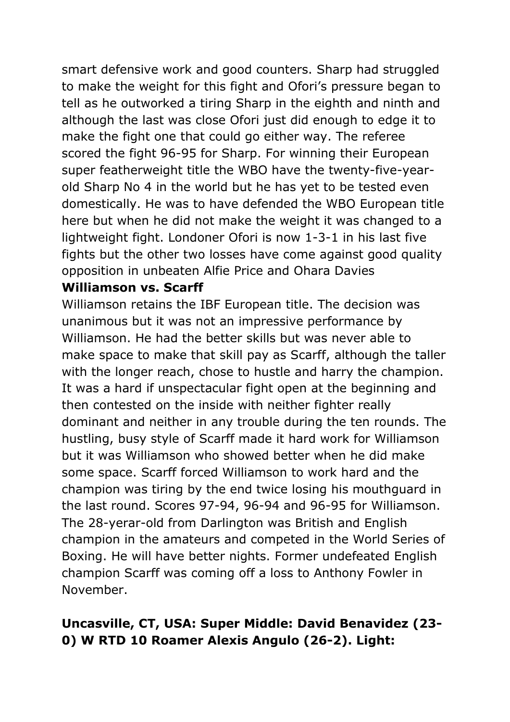smart defensive work and good counters. Sharp had struggled to make the weight for this fight and Ofori's pressure began to tell as he outworked a tiring Sharp in the eighth and ninth and although the last was close Ofori just did enough to edge it to make the fight one that could go either way. The referee scored the fight 96-95 for Sharp. For winning their European super featherweight title the WBO have the twenty-five-yearold Sharp No 4 in the world but he has yet to be tested even domestically. He was to have defended the WBO European title here but when he did not make the weight it was changed to a lightweight fight. Londoner Ofori is now 1-3-1 in his last five fights but the other two losses have come against good quality opposition in unbeaten Alfie Price and Ohara Davies

### **Williamson vs. Scarff**

Williamson retains the IBF European title. The decision was unanimous but it was not an impressive performance by Williamson. He had the better skills but was never able to make space to make that skill pay as Scarff, although the taller with the longer reach, chose to hustle and harry the champion. It was a hard if unspectacular fight open at the beginning and then contested on the inside with neither fighter really dominant and neither in any trouble during the ten rounds. The hustling, busy style of Scarff made it hard work for Williamson but it was Williamson who showed better when he did make some space. Scarff forced Williamson to work hard and the champion was tiring by the end twice losing his mouthguard in the last round. Scores 97-94, 96-94 and 96-95 for Williamson. The 28-yerar-old from Darlington was British and English champion in the amateurs and competed in the World Series of Boxing. He will have better nights. Former undefeated English champion Scarff was coming off a loss to Anthony Fowler in November.

### **Uncasville, CT, USA: Super Middle: David Benavidez (23- 0) W RTD 10 Roamer Alexis Angulo (26-2). Light:**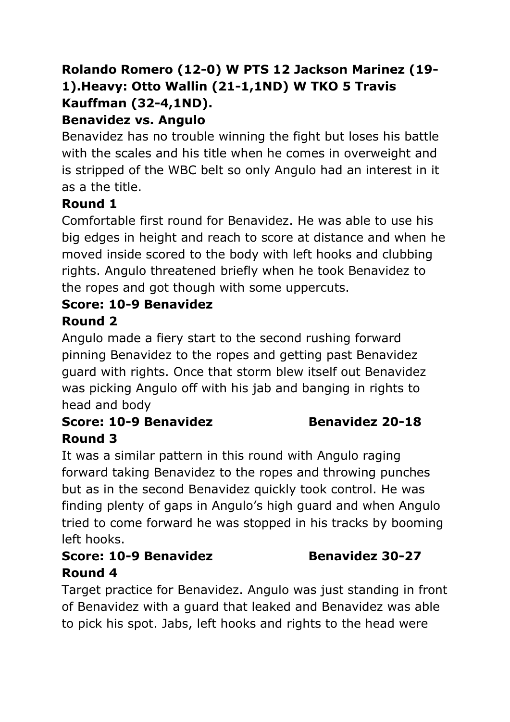# **Rolando Romero (12-0) W PTS 12 Jackson Marinez (19- 1).Heavy: Otto Wallin (21-1,1ND) W TKO 5 Travis Kauffman (32-4,1ND).**

## **Benavidez vs. Angulo**

Benavidez has no trouble winning the fight but loses his battle with the scales and his title when he comes in overweight and is stripped of the WBC belt so only Angulo had an interest in it as a the title.

## **Round 1**

Comfortable first round for Benavidez. He was able to use his big edges in height and reach to score at distance and when he moved inside scored to the body with left hooks and clubbing rights. Angulo threatened briefly when he took Benavidez to the ropes and got though with some uppercuts.

### **Score: 10-9 Benavidez**

## **Round 2**

Angulo made a fiery start to the second rushing forward pinning Benavidez to the ropes and getting past Benavidez guard with rights. Once that storm blew itself out Benavidez was picking Angulo off with his jab and banging in rights to head and body

### **Score: 10-9 Benavidez Benavidez 20-18 Round 3**

It was a similar pattern in this round with Angulo raging forward taking Benavidez to the ropes and throwing punches but as in the second Benavidez quickly took control. He was finding plenty of gaps in Angulo's high guard and when Angulo tried to come forward he was stopped in his tracks by booming left hooks.

# **Score: 10-9 Benavidez Benavidez 30-27 Round 4**

Target practice for Benavidez. Angulo was just standing in front of Benavidez with a guard that leaked and Benavidez was able to pick his spot. Jabs, left hooks and rights to the head were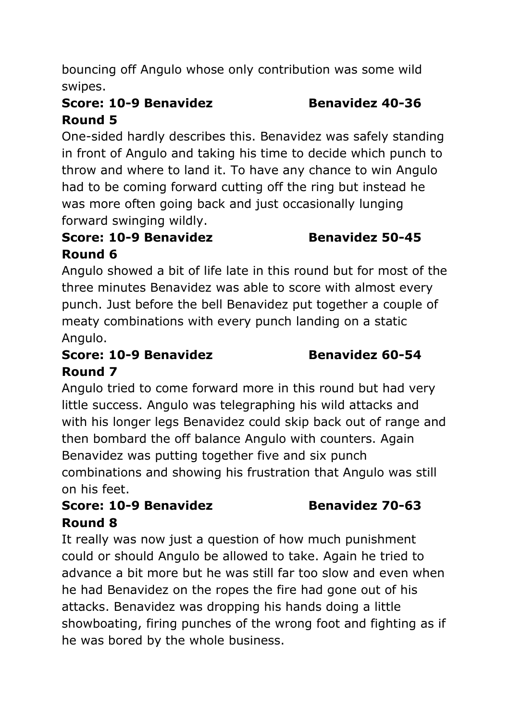bouncing off Angulo whose only contribution was some wild swipes.

# **Score: 10-9 Benavidez Benavidez 40-36 Round 5**

One-sided hardly describes this. Benavidez was safely standing in front of Angulo and taking his time to decide which punch to throw and where to land it. To have any chance to win Angulo had to be coming forward cutting off the ring but instead he was more often going back and just occasionally lunging forward swinging wildly.

# **Score: 10-9 Benavidez Benavidez 50-45 Round 6**

Angulo showed a bit of life late in this round but for most of the three minutes Benavidez was able to score with almost every punch. Just before the bell Benavidez put together a couple of meaty combinations with every punch landing on a static Angulo.

## **Score: 10-9 Benavidez Benavidez 60-54 Round 7**

Angulo tried to come forward more in this round but had very little success. Angulo was telegraphing his wild attacks and with his longer legs Benavidez could skip back out of range and then bombard the off balance Angulo with counters. Again Benavidez was putting together five and six punch combinations and showing his frustration that Angulo was still on his feet.

### **Score: 10-9 Benavidez Benavidez 70-63 Round 8**

It really was now just a question of how much punishment could or should Angulo be allowed to take. Again he tried to advance a bit more but he was still far too slow and even when he had Benavidez on the ropes the fire had gone out of his attacks. Benavidez was dropping his hands doing a little showboating, firing punches of the wrong foot and fighting as if he was bored by the whole business.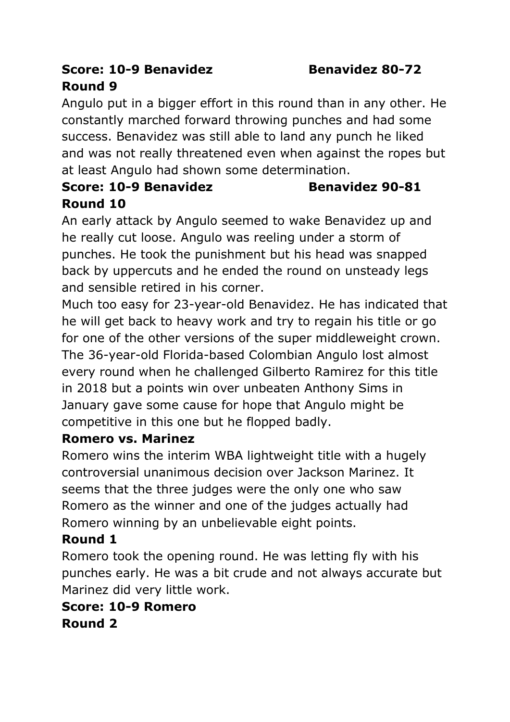## **Score: 10-9 Benavidez Benavidez 80-72 Round 9**

Angulo put in a bigger effort in this round than in any other. He constantly marched forward throwing punches and had some

success. Benavidez was still able to land any punch he liked and was not really threatened even when against the ropes but at least Angulo had shown some determination.

## **Score: 10-9 Benavidez Benavidez 90-81 Round 10**

An early attack by Angulo seemed to wake Benavidez up and he really cut loose. Angulo was reeling under a storm of punches. He took the punishment but his head was snapped back by uppercuts and he ended the round on unsteady legs and sensible retired in his corner.

Much too easy for 23-year-old Benavidez. He has indicated that he will get back to heavy work and try to regain his title or go for one of the other versions of the super middleweight crown. The 36-year-old Florida-based Colombian Angulo lost almost every round when he challenged Gilberto Ramirez for this title in 2018 but a points win over unbeaten Anthony Sims in January gave some cause for hope that Angulo might be competitive in this one but he flopped badly.

### **Romero vs. Marinez**

Romero wins the interim WBA lightweight title with a hugely controversial unanimous decision over Jackson Marinez. It seems that the three judges were the only one who saw Romero as the winner and one of the judges actually had Romero winning by an unbelievable eight points.

# **Round 1**

Romero took the opening round. He was letting fly with his punches early. He was a bit crude and not always accurate but Marinez did very little work.

**Score: 10-9 Romero Round 2**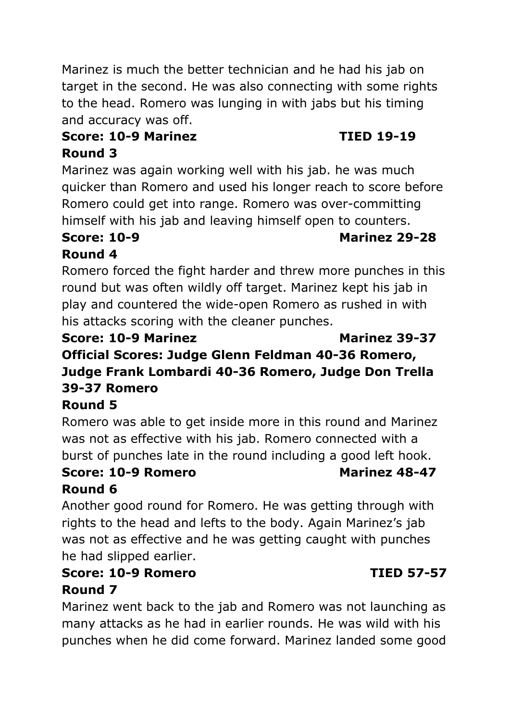Marinez is much the better technician and he had his jab on target in the second. He was also connecting with some rights to the head. Romero was lunging in with jabs but his timing and accuracy was off.

### **Score: 10-9 Marinez TIED 19-19 Round 3**

Marinez was again working well with his jab. he was much quicker than Romero and used his longer reach to score before Romero could get into range. Romero was over-committing himself with his jab and leaving himself open to counters.

# **Round 4**

Romero forced the fight harder and threw more punches in this round but was often wildly off target. Marinez kept his jab in play and countered the wide-open Romero as rushed in with his attacks scoring with the cleaner punches.

### **Score: 10-9 Marinez Marinez 39-37 Official Scores: Judge Glenn Feldman 40-36 Romero, Judge Frank Lombardi 40-36 Romero, Judge Don Trella 39-37 Romero**

# **Round 5**

Romero was able to get inside more in this round and Marinez was not as effective with his jab. Romero connected with a burst of punches late in the round including a good left hook.

### **Score: 10-9 Romero Marinez 48-47 Round 6**

Another good round for Romero. He was getting through with rights to the head and lefts to the body. Again Marinez's jab was not as effective and he was getting caught with punches he had slipped earlier.

# **Score: 10-9 Romero TIED 57-57 Round 7**

Marinez went back to the jab and Romero was not launching as many attacks as he had in earlier rounds. He was wild with his punches when he did come forward. Marinez landed some good

# **Score: 10-9 Marinez 29-28**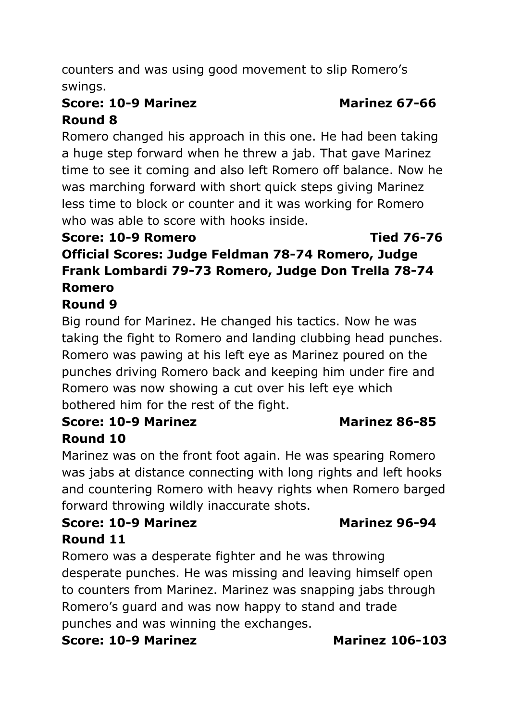counters and was using good movement to slip Romero's swings.

# **Score: 10-9 Marinez Marinez 67-66 Round 8**

Romero changed his approach in this one. He had been taking a huge step forward when he threw a jab. That gave Marinez time to see it coming and also left Romero off balance. Now he was marching forward with short quick steps giving Marinez less time to block or counter and it was working for Romero who was able to score with hooks inside.

### **Score: 10-9 Romero Tied 76-76**

**Official Scores: Judge Feldman 78-74 Romero, Judge Frank Lombardi 79-73 Romero, Judge Don Trella 78-74 Romero** 

### **Round 9**

Big round for Marinez. He changed his tactics. Now he was taking the fight to Romero and landing clubbing head punches. Romero was pawing at his left eye as Marinez poured on the punches driving Romero back and keeping him under fire and Romero was now showing a cut over his left eye which bothered him for the rest of the fight.

## **Score: 10-9 Marinez Marinez 86-85 Round 10**

Marinez was on the front foot again. He was spearing Romero was jabs at distance connecting with long rights and left hooks and countering Romero with heavy rights when Romero barged forward throwing wildly inaccurate shots.

# **Score: 10-9 Marinez Marinez 96-94 Round 11**

Romero was a desperate fighter and he was throwing desperate punches. He was missing and leaving himself open to counters from Marinez. Marinez was snapping jabs through Romero's guard and was now happy to stand and trade punches and was winning the exchanges.

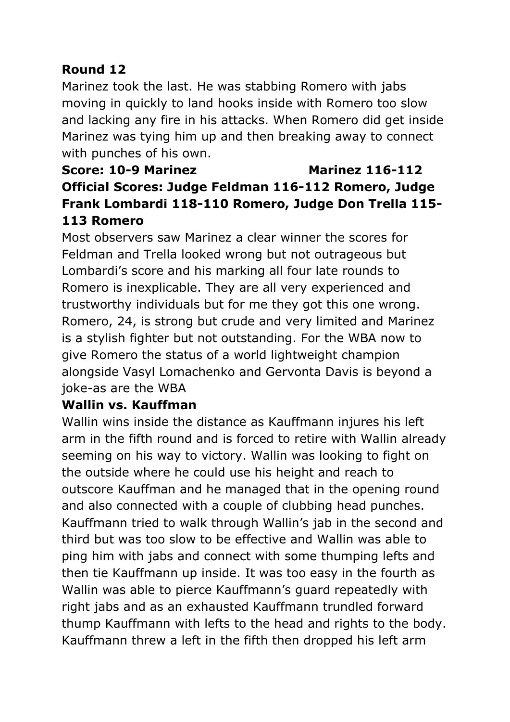## **Round 12**

Marinez took the last. He was stabbing Romero with jabs moving in quickly to land hooks inside with Romero too slow and lacking any fire in his attacks. When Romero did get inside Marinez was tying him up and then breaking away to connect with punches of his own.

# **Score: 10-9 Marinez Marinez 116-112 Official Scores: Judge Feldman 116-112 Romero, Judge Frank Lombardi 118-110 Romero, Judge Don Trella 115- 113 Romero**

Most observers saw Marinez a clear winner the scores for Feldman and Trella looked wrong but not outrageous but Lombardi's score and his marking all four late rounds to Romero is inexplicable. They are all very experienced and trustworthy individuals but for me they got this one wrong. Romero, 24, is strong but crude and very limited and Marinez is a stylish fighter but not outstanding. For the WBA now to give Romero the status of a world lightweight champion alongside Vasyl Lomachenko and Gervonta Davis is beyond a joke-as are the WBA

### **Wallin vs. Kauffman**

Wallin wins inside the distance as Kauffmann injures his left arm in the fifth round and is forced to retire with Wallin already seeming on his way to victory. Wallin was looking to fight on the outside where he could use his height and reach to outscore Kauffman and he managed that in the opening round and also connected with a couple of clubbing head punches. Kauffmann tried to walk through Wallin's jab in the second and third but was too slow to be effective and Wallin was able to ping him with jabs and connect with some thumping lefts and then tie Kauffmann up inside. It was too easy in the fourth as Wallin was able to pierce Kauffmann's guard repeatedly with right jabs and as an exhausted Kauffmann trundled forward thump Kauffmann with lefts to the head and rights to the body. Kauffmann threw a left in the fifth then dropped his left arm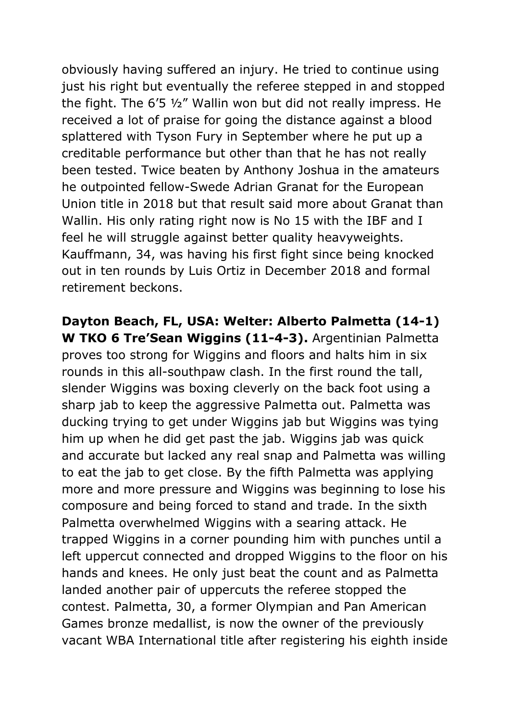obviously having suffered an injury. He tried to continue using just his right but eventually the referee stepped in and stopped the fight. The 6'5 ½" Wallin won but did not really impress. He received a lot of praise for going the distance against a blood splattered with Tyson Fury in September where he put up a creditable performance but other than that he has not really been tested. Twice beaten by Anthony Joshua in the amateurs he outpointed fellow-Swede Adrian Granat for the European Union title in 2018 but that result said more about Granat than Wallin. His only rating right now is No 15 with the IBF and I feel he will struggle against better quality heavyweights. Kauffmann, 34, was having his first fight since being knocked out in ten rounds by Luis Ortiz in December 2018 and formal retirement beckons.

**Dayton Beach, FL, USA: Welter: Alberto Palmetta (14-1) W TKO 6 Tre'Sean Wiggins (11-4-3).** Argentinian Palmetta proves too strong for Wiggins and floors and halts him in six rounds in this all-southpaw clash. In the first round the tall, slender Wiggins was boxing cleverly on the back foot using a sharp jab to keep the aggressive Palmetta out. Palmetta was ducking trying to get under Wiggins jab but Wiggins was tying him up when he did get past the jab. Wiggins jab was quick and accurate but lacked any real snap and Palmetta was willing to eat the jab to get close. By the fifth Palmetta was applying more and more pressure and Wiggins was beginning to lose his composure and being forced to stand and trade. In the sixth Palmetta overwhelmed Wiggins with a searing attack. He trapped Wiggins in a corner pounding him with punches until a left uppercut connected and dropped Wiggins to the floor on his hands and knees. He only just beat the count and as Palmetta landed another pair of uppercuts the referee stopped the contest. Palmetta, 30, a former Olympian and Pan American Games bronze medallist, is now the owner of the previously vacant WBA International title after registering his eighth inside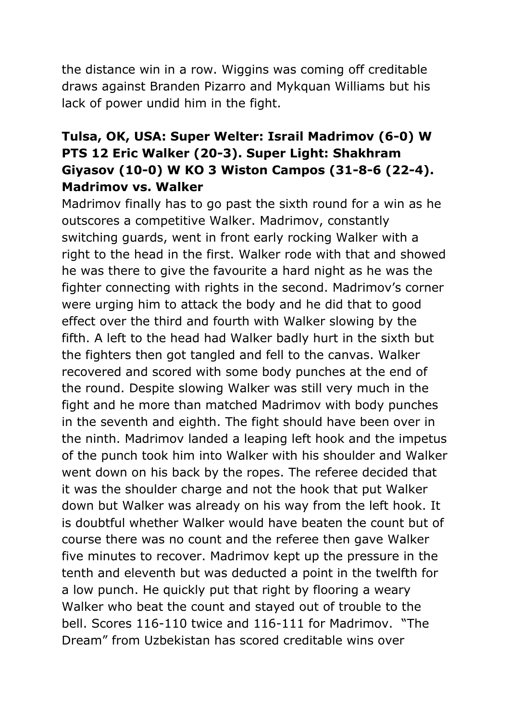the distance win in a row. Wiggins was coming off creditable draws against Branden Pizarro and Mykquan Williams but his lack of power undid him in the fight.

### **Tulsa, OK, USA: Super Welter: Israil Madrimov (6-0) W PTS 12 Eric Walker (20-3). Super Light: Shakhram Giyasov (10-0) W KO 3 Wiston Campos (31-8-6 (22-4). Madrimov vs. Walker**

Madrimov finally has to go past the sixth round for a win as he outscores a competitive Walker. Madrimov, constantly switching guards, went in front early rocking Walker with a right to the head in the first. Walker rode with that and showed he was there to give the favourite a hard night as he was the fighter connecting with rights in the second. Madrimov's corner were urging him to attack the body and he did that to good effect over the third and fourth with Walker slowing by the fifth. A left to the head had Walker badly hurt in the sixth but the fighters then got tangled and fell to the canvas. Walker recovered and scored with some body punches at the end of the round. Despite slowing Walker was still very much in the fight and he more than matched Madrimov with body punches in the seventh and eighth. The fight should have been over in the ninth. Madrimov landed a leaping left hook and the impetus of the punch took him into Walker with his shoulder and Walker went down on his back by the ropes. The referee decided that it was the shoulder charge and not the hook that put Walker down but Walker was already on his way from the left hook. It is doubtful whether Walker would have beaten the count but of course there was no count and the referee then gave Walker five minutes to recover. Madrimov kept up the pressure in the tenth and eleventh but was deducted a point in the twelfth for a low punch. He quickly put that right by flooring a weary Walker who beat the count and stayed out of trouble to the bell. Scores 116-110 twice and 116-111 for Madrimov. "The Dream" from Uzbekistan has scored creditable wins over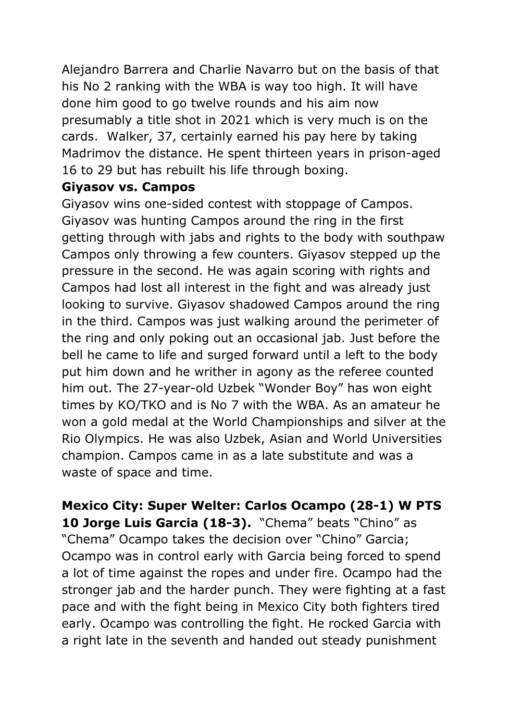Alejandro Barrera and Charlie Navarro but on the basis of that his No 2 ranking with the WBA is way too high. It will have done him good to go twelve rounds and his aim now presumably a title shot in 2021 which is very much is on the cards. Walker, 37, certainly earned his pay here by taking Madrimov the distance. He spent thirteen years in prison-aged 16 to 29 but has rebuilt his life through boxing.

### **Giyasov vs. Campos**

Giyasov wins one-sided contest with stoppage of Campos. Giyasov was hunting Campos around the ring in the first getting through with jabs and rights to the body with southpaw Campos only throwing a few counters. Giyasov stepped up the pressure in the second. He was again scoring with rights and Campos had lost all interest in the fight and was already just looking to survive. Giyasov shadowed Campos around the ring in the third. Campos was just walking around the perimeter of the ring and only poking out an occasional jab. Just before the bell he came to life and surged forward until a left to the body put him down and he writher in agony as the referee counted him out. The 27-year-old Uzbek "Wonder Boy" has won eight times by KO/TKO and is No 7 with the WBA. As an amateur he won a gold medal at the World Championships and silver at the Rio Olympics. He was also Uzbek, Asian and World Universities champion. Campos came in as a late substitute and was a waste of space and time.

**Mexico City: Super Welter: Carlos Ocampo (28-1) W PTS 10 Jorge Luis Garcia (18-3).** "Chema" beats "Chino" as "Chema" Ocampo takes the decision over "Chino" Garcia; Ocampo was in control early with Garcia being forced to spend a lot of time against the ropes and under fire. Ocampo had the stronger jab and the harder punch. They were fighting at a fast pace and with the fight being in Mexico City both fighters tired early. Ocampo was controlling the fight. He rocked Garcia with a right late in the seventh and handed out steady punishment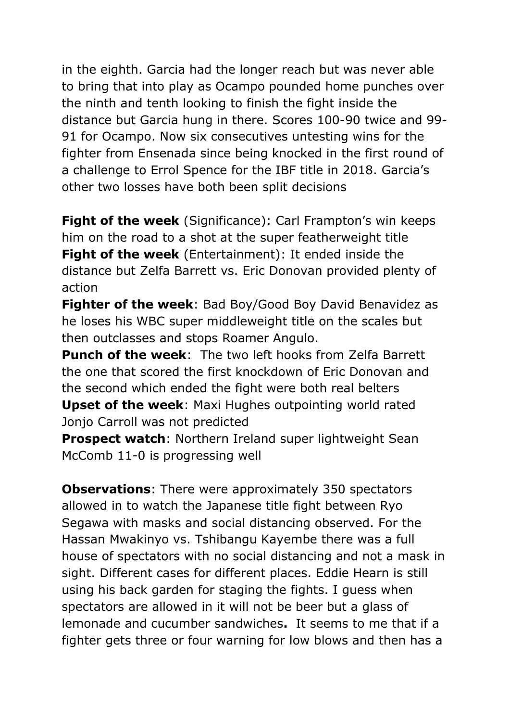in the eighth. Garcia had the longer reach but was never able to bring that into play as Ocampo pounded home punches over the ninth and tenth looking to finish the fight inside the distance but Garcia hung in there. Scores 100-90 twice and 99- 91 for Ocampo. Now six consecutives untesting wins for the fighter from Ensenada since being knocked in the first round of a challenge to Errol Spence for the IBF title in 2018. Garcia's other two losses have both been split decisions

**Fight of the week** (Significance): Carl Frampton's win keeps him on the road to a shot at the super featherweight title **Fight of the week** (Entertainment): It ended inside the distance but Zelfa Barrett vs. Eric Donovan provided plenty of action

**Fighter of the week**: Bad Boy/Good Boy David Benavidez as he loses his WBC super middleweight title on the scales but then outclasses and stops Roamer Angulo.

**Punch of the week**: The two left hooks from Zelfa Barrett the one that scored the first knockdown of Eric Donovan and the second which ended the fight were both real belters **Upset of the week**: Maxi Hughes outpointing world rated Jonjo Carroll was not predicted

**Prospect watch**: Northern Ireland super lightweight Sean McComb 11-0 is progressing well

**Observations**: There were approximately 350 spectators allowed in to watch the Japanese title fight between Ryo Segawa with masks and social distancing observed. For the Hassan Mwakinyo vs. Tshibangu Kayembe there was a full house of spectators with no social distancing and not a mask in sight. Different cases for different places. Eddie Hearn is still using his back garden for staging the fights. I guess when spectators are allowed in it will not be beer but a glass of lemonade and cucumber sandwiches**.** It seems to me that if a fighter gets three or four warning for low blows and then has a